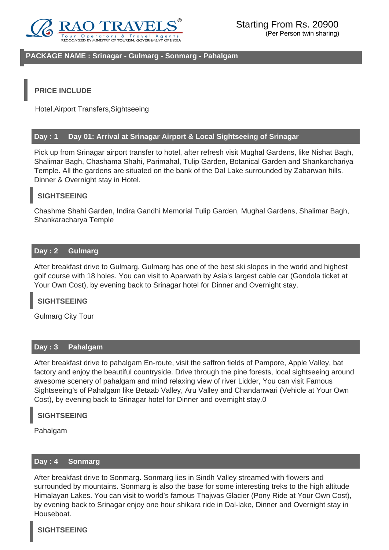

#### **PACKAGE NAME : Srinagar - Gulmarg - Sonmarg - Pahalgam**

## **PRICE INCLUDE**

Hotel,Airport Transfers,Sightseeing

#### **Day : 1 Day 01: Arrival at Srinagar Airport & Local Sightseeing of Srinagar**

Pick up from Srinagar airport transfer to hotel, after refresh visit Mughal Gardens, like Nishat Bagh, Shalimar Bagh, Chashama Shahi, Parimahal, Tulip Garden, Botanical Garden and Shankarchariya Temple. All the gardens are situated on the bank of the Dal Lake surrounded by Zabarwan hills. Dinner & Overnight stay in Hotel.

## **SIGHTSEEING**

Chashme Shahi Garden, Indira Gandhi Memorial Tulip Garden, Mughal Gardens, Shalimar Bagh, Shankaracharya Temple

### **Day : 2 Gulmarg**

After breakfast drive to Gulmarg. Gulmarg has one of the best ski slopes in the world and highest golf course with 18 holes. You can visit to Aparwath by Asia's largest cable car (Gondola ticket at Your Own Cost), by evening back to Srinagar hotel for Dinner and Overnight stay.

## **SIGHTSEEING**

Gulmarg City Tour

#### **Day : 3 Pahalgam**

After breakfast drive to pahalgam En-route, visit the saffron fields of Pampore, Apple Valley, bat factory and enjoy the beautiful countryside. Drive through the pine forests, local sightseeing around awesome scenery of pahalgam and mind relaxing view of river Lidder, You can visit Famous Sightseeing's of Pahalgam like Betaab Valley, Aru Valley and Chandanwari (Vehicle at Your Own Cost), by evening back to Srinagar hotel for Dinner and overnight stay.0

### **SIGHTSEEING**

Pahalgam

#### **Day : 4 Sonmarg**

After breakfast drive to Sonmarg. Sonmarg lies in Sindh Valley streamed with flowers and surrounded by mountains. Sonmarg is also the base for some interesting treks to the high altitude Himalayan Lakes. You can visit to world's famous Thajwas Glacier (Pony Ride at Your Own Cost), by evening back to Srinagar enjoy one hour shikara ride in Dal-lake, Dinner and Overnight stay in Houseboat.

#### **SIGHTSEEING**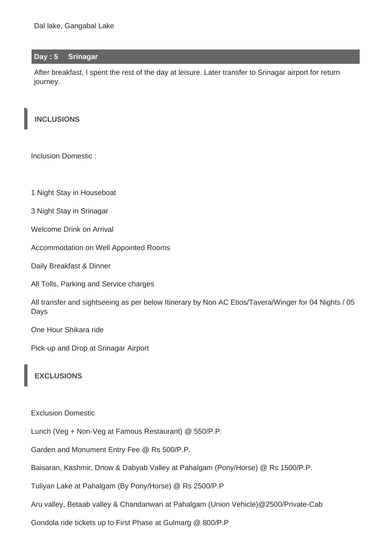### **Day : 5 Srinagar**

After breakfast, I spent the rest of the day at leisure. Later transfer to Srinagar airport for return journey.

## **INCLUSIONS**

Inclusion Domestic :

1 Night Stay in Houseboat

3 Night Stay in Srinagar

Welcome Drink on Arrival

Accommodation on Well Appointed Rooms

Daily Breakfast & Dinner

All Tolls, Parking and Service charges

All transfer and sightseeing as per below Itinerary by Non AC Etios/Tavera/Winger for 04 Nights / 05 Days

One Hour Shikara ride

Pick-up and Drop at Srinagar Airport

# **EXCLUSIONS**

Exclusion Domestic

Lunch (Veg + Non-Veg at Famous Restaurant) @ 550/P.P.

Garden and Monument Entry Fee @ Rs 500/P.P.

Baisaran, Kashmir, Dnow & Dabyab Valley at Pahalgam (Pony/Horse) @ Rs 1500/P.P.

Tuliyan Lake at Pahalgam (By Pony/Horse) @ Rs 2500/P.P

Aru valley, Betaab valley & Chandanwari at Pahalgam (Union Vehicle)@2500/Private-Cab

Gondola ride tickets up to First Phase at Gulmarg @ 800/P.P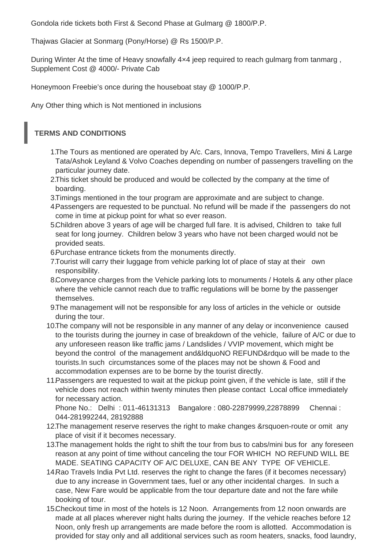Gondola ride tickets both First & Second Phase at Gulmarg @ 1800/P.P.

Thajwas Glacier at Sonmarg (Pony/Horse) @ Rs 1500/P.P.

During Winter At the time of Heavy snowfally 4x4 jeep required to reach gulmarg from tanmarg, Supplement Cost @ 4000/- Private Cab

Honeymoon Freebie's once during the houseboat stay @ 1000/P.P.

Any Other thing which is Not mentioned in inclusions

# **TERMS AND CONDITIONS**

- 1.The Tours as mentioned are operated by A/c. Cars, Innova, Tempo Travellers, Mini & Large Tata/Ashok Leyland & Volvo Coaches depending on number of passengers travelling on the particular journey date.
- 2.This ticket should be produced and would be collected by the company at the time of boarding.
- 3.Timings mentioned in the tour program are approximate and are subject to change.
- 4.Passengers are requested to be punctual. No refund will be made if the passengers do not come in time at pickup point for what so ever reason.
- 5.Children above 3 years of age will be charged full fare. It is advised, Children to take full seat for long journey. Children below 3 years who have not been charged would not be provided seats.
- 6.Purchase entrance tickets from the monuments directly.
- 7.Tourist will carry their luggage from vehicle parking lot of place of stay at their own responsibility.
- 8.Conveyance charges from the Vehicle parking lots to monuments / Hotels & any other place where the vehicle cannot reach due to traffic regulations will be borne by the passenger themselves.
- 9.The management will not be responsible for any loss of articles in the vehicle or outside during the tour.
- 10.The company will not be responsible in any manner of any delay or inconvenience caused to the tourists during the journey in case of breakdown of the vehicle, failure of A/C or due to any unforeseen reason like traffic jams / Landslides / VVIP movement, which might be beyond the control of the management and&ldquoNO REFUND&rdquo will be made to the tourists.In such circumstances some of the places may not be shown & Food and accommodation expenses are to be borne by the tourist directly.
- 11. Passengers are requested to wait at the pickup point given, if the vehicle is late, still if the vehicle does not reach within twenty minutes then please contact Local office immediately for necessary action.

Phone No.: Delhi : 011-46131313 Bangalore : 080-22879999,22878899 Chennai : 044-281992244, 28192888

- 12.The management reserve reserves the right to make changes &rsquoen-route or omit any place of visit if it becomes necessary.
- 13.The management holds the right to shift the tour from bus to cabs/mini bus for any foreseen reason at any point of time without canceling the tour FOR WHICH NO REFUND WILL BE MADE. SEATING CAPACITY OF A/C DELUXE, CAN BE ANY TYPE OF VEHICLE.
- 14.Rao Travels India Pvt Ltd. reserves the right to change the fares (if it becomes necessary) due to any increase in Government taes, fuel or any other incidental charges. In such a case, New Fare would be applicable from the tour departure date and not the fare while booking of tour.
- 15.Checkout time in most of the hotels is 12 Noon. Arrangements from 12 noon onwards are made at all places wherever night halts during the journey. If the vehicle reaches before 12 Noon, only fresh up arrangements are made before the room is allotted. Accommodation is provided for stay only and all additional services such as room heaters, snacks, food laundry,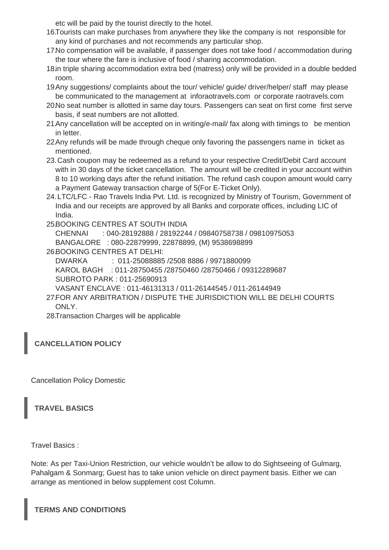etc will be paid by the tourist directly to the hotel.

- 16.Tourists can make purchases from anywhere they like the company is not responsible for any kind of purchases and not recommends any particular shop.
- 17.No compensation will be available, if passenger does not take food / accommodation during the tour where the fare is inclusive of food / sharing accommodation.
- 18.in triple sharing accommodation extra bed (matress) only will be provided in a double bedded room.
- 19.Any suggestions/ complaints about the tour/ vehicle/ guide/ driver/helper/ staff may please be communicated to the management at inforaotravels.com or corporate raotravels.com
- 20.No seat number is allotted in same day tours. Passengers can seat on first come first serve basis, if seat numbers are not allotted.
- 21.Any cancellation will be accepted on in writing/e-mail/ fax along with timings to be mention in letter.
- 22.Any refunds will be made through cheque only favoring the passengers name in ticket as mentioned.
- 23. Cash coupon may be redeemed as a refund to your respective Credit/Debit Card account with in 30 days of the ticket cancellation. The amount will be credited in your account within 8 to 10 working days after the refund initiation. The refund cash coupon amount would carry a Payment Gateway transaction charge of 5(For E-Ticket Only).
- 24. LTC/LFC Rao Travels India Pvt. Ltd. is recognized by Ministry of Tourism, Government of India and our receipts are approved by all Banks and corporate offices, including LIC of India.

25.BOOKING CENTRES AT SOUTH INDIA

CHENNAI : 040-28192888 / 28192244 / 09840758738 / 09810975053 BANGALORE : 080-22879999, 22878899, (M) 9538698899

26.BOOKING CENTRES AT DELHI:

DWARKA : 011-25088885 /2508 8886 / 9971880099 KAROL BAGH : 011-28750455 /28750460 /28750466 / 09312289687 SUBROTO PARK : 011-25690913

VASANT ENCLAVE : 011-46131313 / 011-26144545 / 011-26144949

27.FOR ANY ARBITRATION / DISPUTE THE JURISDICTION WILL BE DELHI COURTS ONLY.

28.Transaction Charges will be applicable

**CANCELLATION POLICY**

Cancellation Policy Domestic

**TRAVEL BASICS**

Travel Basics :

Note: As per Taxi-Union Restriction, our vehicle wouldn't be allow to do Sightseeing of Gulmarg, Pahalgam & Sonmarg; Guest has to take union vehicle on direct payment basis. Either we can arrange as mentioned in below supplement cost Column.

**TERMS AND CONDITIONS**